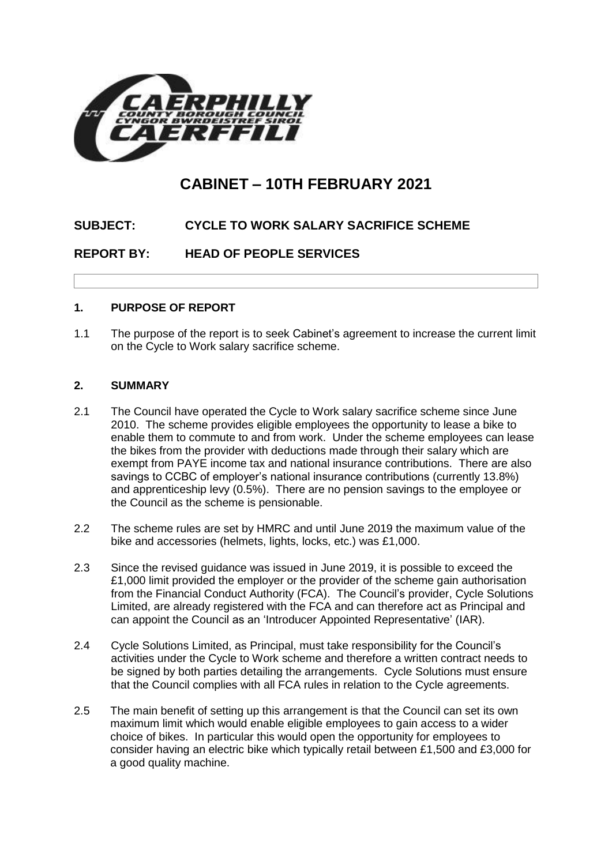

# **CABINET – 10TH FEBRUARY 2021**

## **SUBJECT: CYCLE TO WORK SALARY SACRIFICE SCHEME**

**REPORT BY: HEAD OF PEOPLE SERVICES**

#### **1. PURPOSE OF REPORT**

1.1 The purpose of the report is to seek Cabinet's agreement to increase the current limit on the Cycle to Work salary sacrifice scheme.

#### **2. SUMMARY**

- 2.1 The Council have operated the Cycle to Work salary sacrifice scheme since June 2010. The scheme provides eligible employees the opportunity to lease a bike to enable them to commute to and from work. Under the scheme employees can lease the bikes from the provider with deductions made through their salary which are exempt from PAYE income tax and national insurance contributions. There are also savings to CCBC of employer's national insurance contributions (currently 13.8%) and apprenticeship levy (0.5%). There are no pension savings to the employee or the Council as the scheme is pensionable.
- 2.2 The scheme rules are set by HMRC and until June 2019 the maximum value of the bike and accessories (helmets, lights, locks, etc.) was £1,000.
- 2.3 Since the revised guidance was issued in June 2019, it is possible to exceed the £1,000 limit provided the employer or the provider of the scheme gain authorisation from the Financial Conduct Authority (FCA). The Council's provider, Cycle Solutions Limited, are already registered with the FCA and can therefore act as Principal and can appoint the Council as an 'Introducer Appointed Representative' (IAR).
- 2.4 Cycle Solutions Limited, as Principal, must take responsibility for the Council's activities under the Cycle to Work scheme and therefore a written contract needs to be signed by both parties detailing the arrangements. Cycle Solutions must ensure that the Council complies with all FCA rules in relation to the Cycle agreements.
- 2.5 The main benefit of setting up this arrangement is that the Council can set its own maximum limit which would enable eligible employees to gain access to a wider choice of bikes. In particular this would open the opportunity for employees to consider having an electric bike which typically retail between £1,500 and £3,000 for a good quality machine.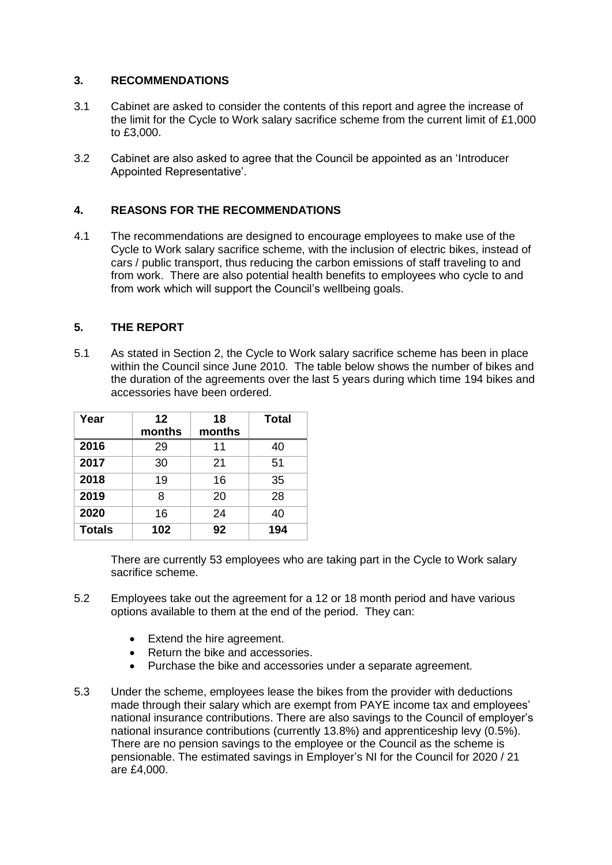## **3. RECOMMENDATIONS**

- 3.1 Cabinet are asked to consider the contents of this report and agree the increase of the limit for the Cycle to Work salary sacrifice scheme from the current limit of £1,000 to £3,000.
- 3.2 Cabinet are also asked to agree that the Council be appointed as an 'Introducer Appointed Representative'.

## **4. REASONS FOR THE RECOMMENDATIONS**

4.1 The recommendations are designed to encourage employees to make use of the Cycle to Work salary sacrifice scheme, with the inclusion of electric bikes, instead of cars / public transport, thus reducing the carbon emissions of staff traveling to and from work. There are also potential health benefits to employees who cycle to and from work which will support the Council's wellbeing goals.

#### **5. THE REPORT**

5.1 As stated in Section 2, the Cycle to Work salary sacrifice scheme has been in place within the Council since June 2010. The table below shows the number of bikes and the duration of the agreements over the last 5 years during which time 194 bikes and accessories have been ordered.

| Year          | 12<br>months | 18<br>months | <b>Total</b> |
|---------------|--------------|--------------|--------------|
| 2016          | 29           | 11           | 40           |
| 2017          | 30           | 21           | 51           |
| 2018          | 19           | 16           | 35           |
| 2019          | 8            | 20           | 28           |
| 2020          | 16           | 24           | 40           |
| <b>Totals</b> | 102          | 92           | 194          |

There are currently 53 employees who are taking part in the Cycle to Work salary sacrifice scheme.

- 5.2 Employees take out the agreement for a 12 or 18 month period and have various options available to them at the end of the period. They can:
	- Extend the hire agreement.
	- Return the bike and accessories.
	- Purchase the bike and accessories under a separate agreement.
- 5.3 Under the scheme, employees lease the bikes from the provider with deductions made through their salary which are exempt from PAYE income tax and employees' national insurance contributions. There are also savings to the Council of employer's national insurance contributions (currently 13.8%) and apprenticeship levy (0.5%). There are no pension savings to the employee or the Council as the scheme is pensionable. The estimated savings in Employer's NI for the Council for 2020 / 21 are £4,000.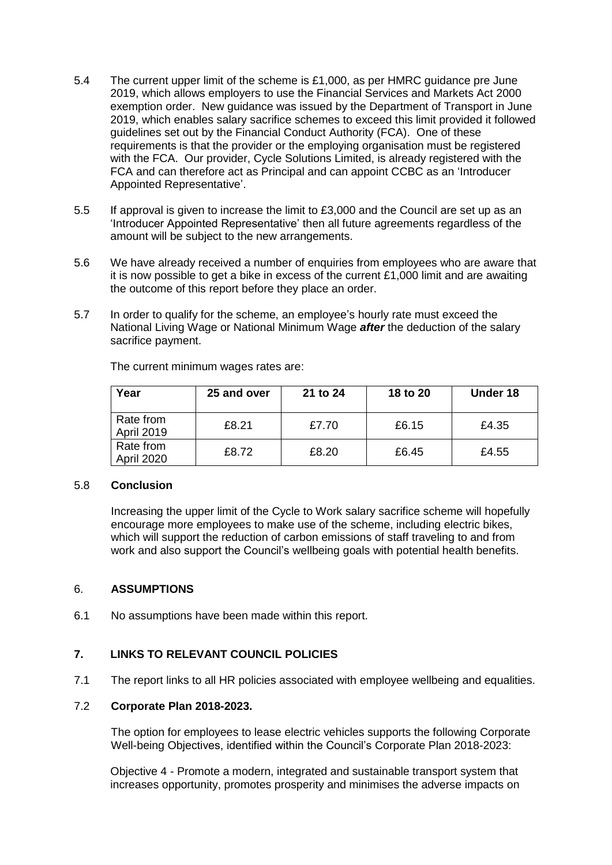- 5.4 The current upper limit of the scheme is £1,000, as per HMRC guidance pre June 2019, which allows employers to use the Financial Services and Markets Act 2000 exemption order. New guidance was issued by the Department of Transport in June 2019, which enables salary sacrifice schemes to exceed this limit provided it followed guidelines set out by the Financial Conduct Authority (FCA). One of these requirements is that the provider or the employing organisation must be registered with the FCA. Our provider, Cycle Solutions Limited, is already registered with the FCA and can therefore act as Principal and can appoint CCBC as an 'Introducer Appointed Representative'.
- 5.5 If approval is given to increase the limit to £3,000 and the Council are set up as an 'Introducer Appointed Representative' then all future agreements regardless of the amount will be subject to the new arrangements.
- 5.6 We have already received a number of enquiries from employees who are aware that it is now possible to get a bike in excess of the current £1,000 limit and are awaiting the outcome of this report before they place an order.
- 5.7 In order to qualify for the scheme, an employee's hourly rate must exceed the National Living Wage or National Minimum Wage *after* the deduction of the salary sacrifice payment.

| Year                           | 25 and over | 21 to 24 | 18 to 20 | Under 18 |
|--------------------------------|-------------|----------|----------|----------|
| Rate from<br><b>April 2019</b> | £8.21       | £7.70    | £6.15    | £4.35    |
| Rate from<br>April 2020        | £8.72       | £8.20    | £6.45    | £4.55    |

The current minimum wages rates are:

#### 5.8 **Conclusion**

Increasing the upper limit of the Cycle to Work salary sacrifice scheme will hopefully encourage more employees to make use of the scheme, including electric bikes, which will support the reduction of carbon emissions of staff traveling to and from work and also support the Council's wellbeing goals with potential health benefits.

#### 6. **ASSUMPTIONS**

6.1 No assumptions have been made within this report.

#### **7. LINKS TO RELEVANT COUNCIL POLICIES**

7.1 The report links to all HR policies associated with employee wellbeing and equalities.

#### 7.2 **Corporate Plan 2018-2023.**

The option for employees to lease electric vehicles supports the following Corporate Well-being Objectives, identified within the Council's Corporate Plan 2018-2023:

Objective 4 - Promote a modern, integrated and sustainable transport system that increases opportunity, promotes prosperity and minimises the adverse impacts on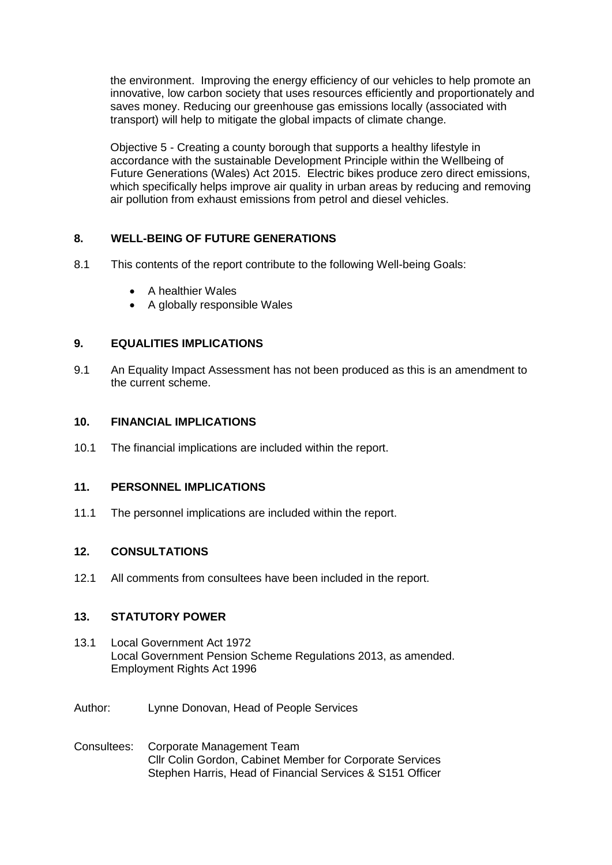the environment. Improving the energy efficiency of our vehicles to help promote an innovative, low carbon society that uses resources efficiently and proportionately and saves money. Reducing our greenhouse gas emissions locally (associated with transport) will help to mitigate the global impacts of climate change.

Objective 5 - Creating a county borough that supports a healthy lifestyle in accordance with the sustainable Development Principle within the Wellbeing of Future Generations (Wales) Act 2015. Electric bikes produce zero direct emissions, which specifically helps improve air quality in urban areas by reducing and removing air pollution from exhaust emissions from petrol and diesel vehicles.

## **8. WELL-BEING OF FUTURE GENERATIONS**

- 8.1 This contents of the report contribute to the following Well-being Goals:
	- A healthier Wales
	- A globally responsible Wales

#### **9. EQUALITIES IMPLICATIONS**

9.1 An Equality Impact Assessment has not been produced as this is an amendment to the current scheme.

#### **10. FINANCIAL IMPLICATIONS**

10.1 The financial implications are included within the report.

#### **11. PERSONNEL IMPLICATIONS**

11.1 The personnel implications are included within the report.

#### **12. CONSULTATIONS**

12.1 All comments from consultees have been included in the report.

### **13. STATUTORY POWER**

- 13.1 Local Government Act 1972 Local Government Pension Scheme Regulations 2013, as amended. Employment Rights Act 1996
- Author: Lynne Donovan, Head of People Services
- Consultees: Corporate Management Team Cllr Colin Gordon, Cabinet Member for Corporate Services Stephen Harris, Head of Financial Services & S151 Officer